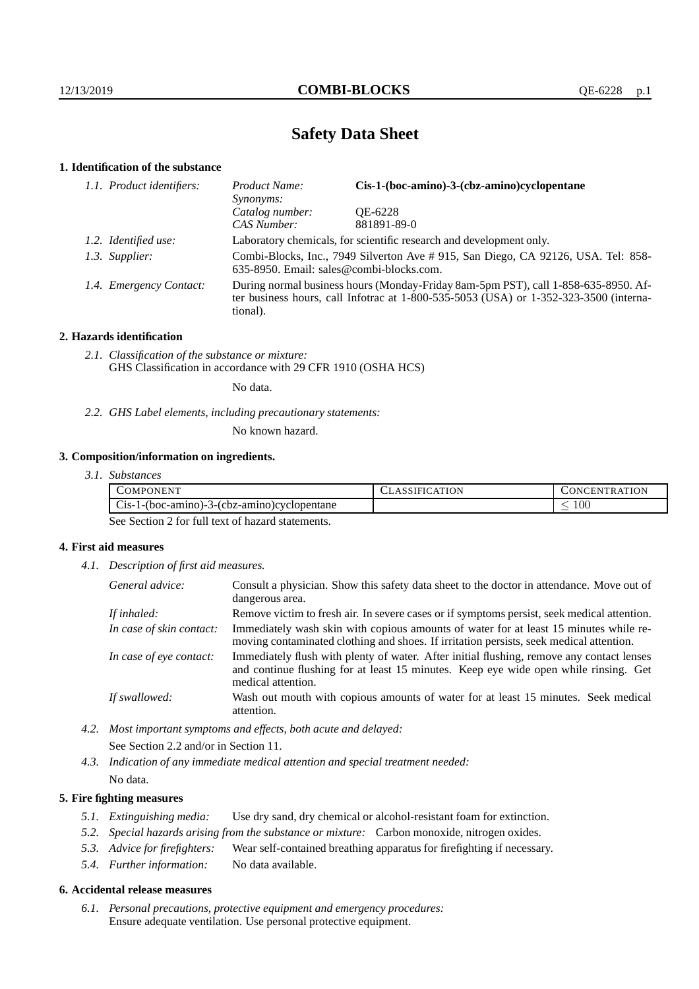# **Safety Data Sheet**

## **1. Identification of the substance**

| 1.1. Product identifiers: | Cis-1-(boc-amino)-3-(cbz-amino)cyclopentane<br>Product Name:<br>Synonyms:                                                                                                               |             |  |
|---------------------------|-----------------------------------------------------------------------------------------------------------------------------------------------------------------------------------------|-------------|--|
|                           | Catalog number:                                                                                                                                                                         | OE-6228     |  |
|                           | CAS Number:                                                                                                                                                                             | 881891-89-0 |  |
| 1.2. Identified use:      | Laboratory chemicals, for scientific research and development only.                                                                                                                     |             |  |
| 1.3. Supplier:            | Combi-Blocks, Inc., 7949 Silverton Ave # 915, San Diego, CA 92126, USA. Tel: 858-<br>635-8950. Email: sales@combi-blocks.com.                                                           |             |  |
| 1.4. Emergency Contact:   | During normal business hours (Monday-Friday 8am-5pm PST), call 1-858-635-8950. Af-<br>ter business hours, call Infotrac at 1-800-535-5053 (USA) or 1-352-323-3500 (interna-<br>tional). |             |  |

## **2. Hazards identification**

*2.1. Classification of the substance or mixture:* GHS Classification in accordance with 29 CFR 1910 (OSHA HCS)

No data.

*2.2. GHS Label elements, including precautionary statements:*

No known hazard.

## **3. Composition/information on ingredients.**

*3.1. Substances*

| OMP⊆<br>. ONEN :                                                                    | ١N | <b>ATION</b><br>- E N'<br>1N I<br>тк |
|-------------------------------------------------------------------------------------|----|--------------------------------------|
| $\sim$<br>3-(cbz-amino) cyclopentane<br>- 1 - (boc-amıno) - .<br>ຳຕ<br>$\cup$ 15-12 |    | $100\,$                              |

See Section 2 for full text of hazard statements.

## **4. First aid measures**

*4.1. Description of first aid measures.*

| General advice:          | Consult a physician. Show this safety data sheet to the doctor in attendance. Move out of<br>dangerous area.                                                                                            |
|--------------------------|---------------------------------------------------------------------------------------------------------------------------------------------------------------------------------------------------------|
| If inhaled:              | Remove victim to fresh air. In severe cases or if symptoms persist, seek medical attention.                                                                                                             |
| In case of skin contact: | Immediately wash skin with copious amounts of water for at least 15 minutes while re-<br>moving contaminated clothing and shoes. If irritation persists, seek medical attention.                        |
| In case of eye contact:  | Immediately flush with plenty of water. After initial flushing, remove any contact lenses<br>and continue flushing for at least 15 minutes. Keep eye wide open while rinsing. Get<br>medical attention. |
| If swallowed:            | Wash out mouth with copious amounts of water for at least 15 minutes. Seek medical<br>attention.                                                                                                        |

- *4.2. Most important symptoms and effects, both acute and delayed:* See Section 2.2 and/or in Section 11.
- *4.3. Indication of any immediate medical attention and special treatment needed:* No data.

## **5. Fire fighting measures**

- *5.1. Extinguishing media:* Use dry sand, dry chemical or alcohol-resistant foam for extinction.
- *5.2. Special hazards arising from the substance or mixture:* Carbon monoxide, nitrogen oxides.
- *5.3. Advice for firefighters:* Wear self-contained breathing apparatus for firefighting if necessary.
- *5.4. Further information:* No data available.

#### **6. Accidental release measures**

*6.1. Personal precautions, protective equipment and emergency procedures:* Ensure adequate ventilation. Use personal protective equipment.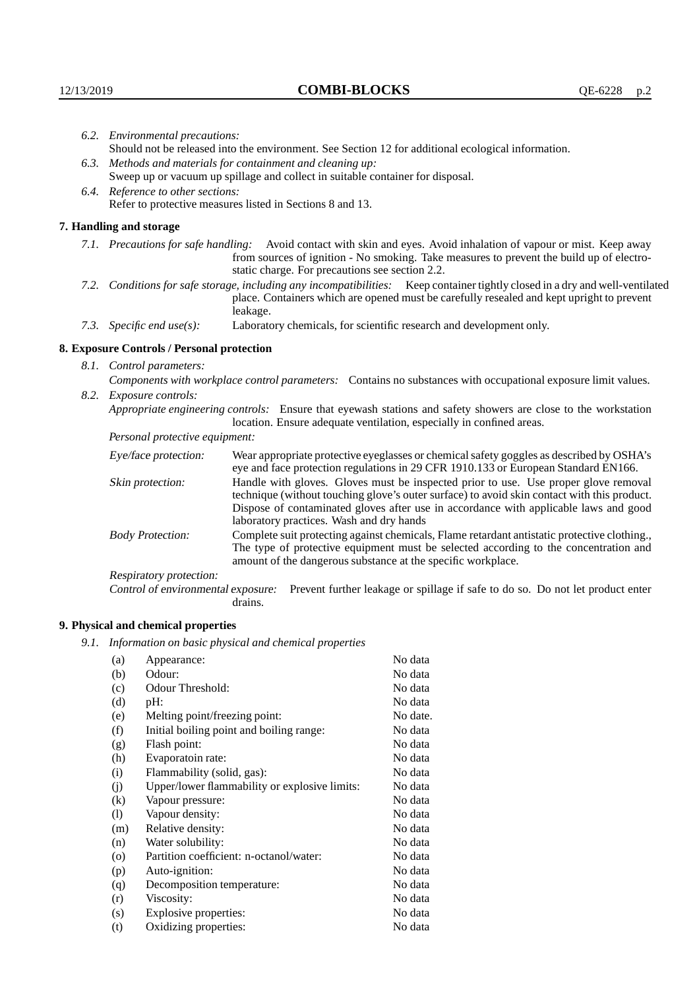|                                   | 6.2. Environmental precautions:                                                                                                                                                                                                                                    |                                                                                                                                                                                                                                                                                                                        |  |
|-----------------------------------|--------------------------------------------------------------------------------------------------------------------------------------------------------------------------------------------------------------------------------------------------------------------|------------------------------------------------------------------------------------------------------------------------------------------------------------------------------------------------------------------------------------------------------------------------------------------------------------------------|--|
|                                   | Should not be released into the environment. See Section 12 for additional ecological information.                                                                                                                                                                 |                                                                                                                                                                                                                                                                                                                        |  |
|                                   | 6.3. Methods and materials for containment and cleaning up:                                                                                                                                                                                                        |                                                                                                                                                                                                                                                                                                                        |  |
|                                   | Sweep up or vacuum up spillage and collect in suitable container for disposal.                                                                                                                                                                                     |                                                                                                                                                                                                                                                                                                                        |  |
| 6.4. Reference to other sections: |                                                                                                                                                                                                                                                                    |                                                                                                                                                                                                                                                                                                                        |  |
|                                   |                                                                                                                                                                                                                                                                    | Refer to protective measures listed in Sections 8 and 13.                                                                                                                                                                                                                                                              |  |
|                                   | 7. Handling and storage                                                                                                                                                                                                                                            |                                                                                                                                                                                                                                                                                                                        |  |
|                                   | 7.1. Precautions for safe handling: Avoid contact with skin and eyes. Avoid inhalation of vapour or mist. Keep away<br>from sources of ignition - No smoking. Take measures to prevent the build up of electro-<br>static charge. For precautions see section 2.2. |                                                                                                                                                                                                                                                                                                                        |  |
|                                   |                                                                                                                                                                                                                                                                    | 7.2. Conditions for safe storage, including any incompatibilities: Keep container tightly closed in a dry and well-ventilated<br>place. Containers which are opened must be carefully resealed and kept upright to prevent<br>leakage.                                                                                 |  |
|                                   | 7.3. Specific end use(s):                                                                                                                                                                                                                                          | Laboratory chemicals, for scientific research and development only.                                                                                                                                                                                                                                                    |  |
|                                   | 8. Exposure Controls / Personal protection                                                                                                                                                                                                                         |                                                                                                                                                                                                                                                                                                                        |  |
|                                   | 8.1. Control parameters:                                                                                                                                                                                                                                           |                                                                                                                                                                                                                                                                                                                        |  |
|                                   | Components with workplace control parameters: Contains no substances with occupational exposure limit values.                                                                                                                                                      |                                                                                                                                                                                                                                                                                                                        |  |
|                                   | 8.2. Exposure controls:                                                                                                                                                                                                                                            |                                                                                                                                                                                                                                                                                                                        |  |
|                                   | Appropriate engineering controls: Ensure that eyewash stations and safety showers are close to the workstation                                                                                                                                                     |                                                                                                                                                                                                                                                                                                                        |  |
|                                   |                                                                                                                                                                                                                                                                    | location. Ensure adequate ventilation, especially in confined areas.                                                                                                                                                                                                                                                   |  |
|                                   | Personal protective equipment:                                                                                                                                                                                                                                     |                                                                                                                                                                                                                                                                                                                        |  |
|                                   | Eye/face protection:                                                                                                                                                                                                                                               | Wear appropriate protective eyeglasses or chemical safety goggles as described by OSHA's<br>eye and face protection regulations in 29 CFR 1910.133 or European Standard EN166.                                                                                                                                         |  |
|                                   | Skin protection:                                                                                                                                                                                                                                                   | Handle with gloves. Gloves must be inspected prior to use. Use proper glove removal<br>technique (without touching glove's outer surface) to avoid skin contact with this product.<br>Dispose of contaminated gloves after use in accordance with applicable laws and good<br>laboratory practices. Wash and dry hands |  |
|                                   | <b>Body Protection:</b>                                                                                                                                                                                                                                            | Complete suit protecting against chemicals, Flame retardant antistatic protective clothing.,<br>The type of protective equipment must be selected according to the concentration and<br>amount of the dangerous substance at the specific workplace.                                                                   |  |
|                                   | Respiratory protection:                                                                                                                                                                                                                                            |                                                                                                                                                                                                                                                                                                                        |  |

Respiratory protection:

Control of environmental exposure: Prevent further leakage or spillage if safe to do so. Do not let product enter drains.

# **9. Physical and chemical properties**

*9.1. Information on basic physical and chemical properties*

| (a)      | Appearance:                                   | No data  |
|----------|-----------------------------------------------|----------|
| (b)      | Odour:                                        | No data  |
| (c)      | Odour Threshold:                              | No data  |
| (d)      | pH:                                           | No data  |
| (e)      | Melting point/freezing point:                 | No date. |
| (f)      | Initial boiling point and boiling range:      | No data  |
| (g)      | Flash point:                                  | No data  |
| (h)      | Evaporatoin rate:                             | No data  |
| (i)      | Flammability (solid, gas):                    | No data  |
| (i)      | Upper/lower flammability or explosive limits: | No data  |
| $\rm(k)$ | Vapour pressure:                              | No data  |
| (1)      | Vapour density:                               | No data  |
| (m)      | Relative density:                             | No data  |
| (n)      | Water solubility:                             | No data  |
| $\circ$  | Partition coefficient: n-octanol/water:       | No data  |
| (p)      | Auto-ignition:                                | No data  |
| (q)      | Decomposition temperature:                    | No data  |
| (r)      | Viscosity:                                    | No data  |
| (s)      | Explosive properties:                         | No data  |
| (t)      | Oxidizing properties:                         | No data  |
|          |                                               |          |